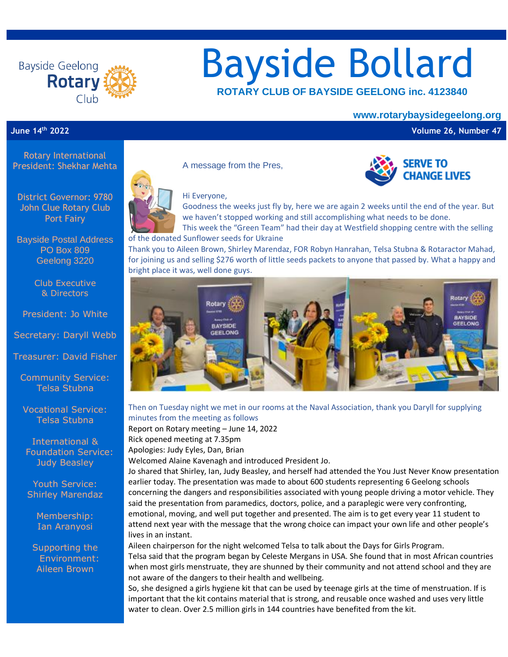

# Bayside Bollard  **ROTARY CLUB OF BAYSIDE GEELONG inc. <sup>4123840</sup>**

#### **www.rotarybaysidegeelong.org**

**SERVE TO CHANGE LIVES** 

**June 14th 2022 Volume 26, Number 47**

Rotary International President: Shekhar Mehta

District Governor: 9780 John Clue Rotary Club Port Fairy

Bayside Postal Address PO Box 809 Geelong 3220

> Club Executive & Directors

President: Jo White

Secretary: Daryll Webb

Treasurer: David Fisher

Community Service: Telsa Stubna

Vocational Service: Telsa Stubna

International & Foundation Service: Judy Beasley

Youth Service: Shirley Marendaz

> Membership: Ian Aranyosi

Supporting the Environment: Aileen Brown



A message from the Pres,



Hi Everyone,

Goodness the weeks just fly by, here we are again 2 weeks until the end of the year. But we haven't stopped working and still accomplishing what needs to be done.

This week the "Green Team" had their day at Westfield shopping centre with the selling of the donated Sunflower seeds for Ukraine

Thank you to Aileen Brown, Shirley Marendaz, FOR Robyn Hanrahan, Telsa Stubna & Rotaractor Mahad, for joining us and selling \$276 worth of little seeds packets to anyone that passed by. What a happy and bright place it was, well done guys.



Then on Tuesday night we met in our rooms at the Naval Association, thank you Daryll for supplying minutes from the meeting as follows

Report on Rotary meeting – June 14, 2022 Rick opened meeting at 7.35pm

Apologies: Judy Eyles, Dan, Brian

Welcomed Alaine Kavenagh and introduced President Jo.

Jo shared that Shirley, Ian, Judy Beasley, and herself had attended the You Just Never Know presentation earlier today. The presentation was made to about 600 students representing 6 Geelong schools concerning the dangers and responsibilities associated with young people driving a motor vehicle. They said the presentation from paramedics, doctors, police, and a paraplegic were very confronting, emotional, moving, and well put together and presented. The aim is to get every year 11 student to attend next year with the message that the wrong choice can impact your own life and other people's lives in an instant.

Aileen chairperson for the night welcomed Telsa to talk about the Days for Girls Program. Telsa said that the program began by Celeste Mergans in USA. She found that in most African countries when most girls menstruate, they are shunned by their community and not attend school and they are not aware of the dangers to their health and wellbeing.

So, she designed a girls hygiene kit that can be used by teenage girls at the time of menstruation. If is important that the kit contains material that is strong, and reusable once washed and uses very little water to clean. Over 2.5 million girls in 144 countries have benefited from the kit.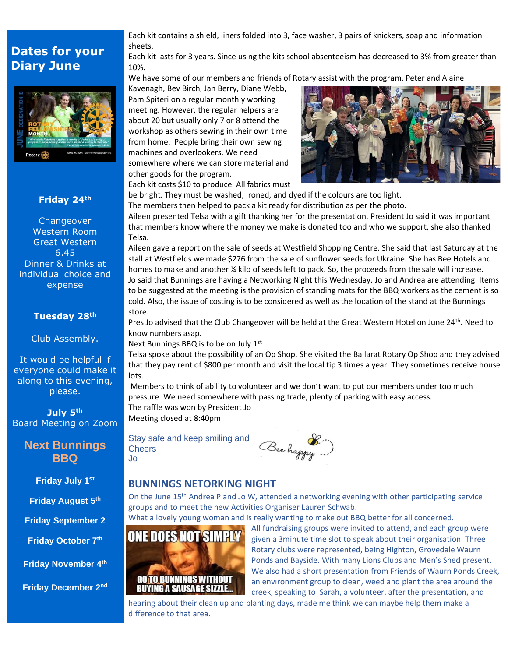### **Dates for your Diary June**



#### **Friday 24th**

**Changeover** Western Room Great Western 6.45 Dinner & Drinks at individual choice and expense

#### **Tuesday 28th**

Club Assembly.

It would be helpful if everyone could make it along to this evening, please.

**July 5th** Board Meeting on Zoom

#### **Next Bunnings BBQ**

**Friday July 1st**

**Friday August 5th**

**Friday September 2**

**Friday October 7th**

**Friday November 4th**

**Friday December 2nd**

Each kit contains a shield, liners folded into 3, face washer, 3 pairs of knickers, soap and information sheets.

Each kit lasts for 3 years. Since using the kits school absenteeism has decreased to 3% from greater than 10%.

We have some of our members and friends of Rotary assist with the program. Peter and Alaine

Kavenagh, Bev Birch, Jan Berry, Diane Webb, Pam Spiteri on a regular monthly working meeting. However, the regular helpers are about 20 but usually only 7 or 8 attend the workshop as others sewing in their own time from home. People bring their own sewing machines and overlookers. We need somewhere where we can store material and other goods for the program. Each kit costs \$10 to produce. All fabrics must



be bright. They must be washed, ironed, and dyed if the colours are too light.

The members then helped to pack a kit ready for distribution as per the photo.

Aileen presented Telsa with a gift thanking her for the presentation. President Jo said it was important that members know where the money we make is donated too and who we support, she also thanked Telsa.

Aileen gave a report on the sale of seeds at Westfield Shopping Centre. She said that last Saturday at the stall at Westfields we made \$276 from the sale of sunflower seeds for Ukraine. She has Bee Hotels and homes to make and another % kilo of seeds left to pack. So, the proceeds from the sale will increase. Jo said that Bunnings are having a Networking Night this Wednesday. Jo and Andrea are attending. Items to be suggested at the meeting is the provision of standing mats for the BBQ workers as the cement is so cold. Also, the issue of costing is to be considered as well as the location of the stand at the Bunnings store.

Pres Jo advised that the Club Changeover will be held at the Great Western Hotel on June 24th. Need to know numbers asap.

Next Bunnings BBQ is to be on July 1st

Telsa spoke about the possibility of an Op Shop. She visited the Ballarat Rotary Op Shop and they advised that they pay rent of \$800 per month and visit the local tip 3 times a year. They sometimes receive house lots.

Members to think of ability to volunteer and we don't want to put our members under too much pressure. We need somewhere with passing trade, plenty of parking with easy access. The raffle was won by President Jo Meeting closed at 8:40pm

Stay safe and keep smiling and **Cheers** Jo



#### **BUNNINGS NETORKING NIGHT**

On the June 15<sup>th</sup> Andrea P and Jo W, attended a networking evening with other participating service groups and to meet the new Activities Organiser Lauren Schwab.

What a lovely young woman and is really wanting to make out BBQ better for all concerned.



All fundraising groups were invited to attend, and each group were given a 3minute time slot to speak about their organisation. Three Rotary clubs were represented, being Highton, Grovedale Waurn Ponds and Bayside. With many Lions Clubs and Men's Shed present. We also had a short presentation from Friends of Waurn Ponds Creek, an environment group to clean, weed and plant the area around the creek, speaking to Sarah, a volunteer, after the presentation, and

hearing about their clean up and planting days, made me think we can maybe help them make a difference to that area.